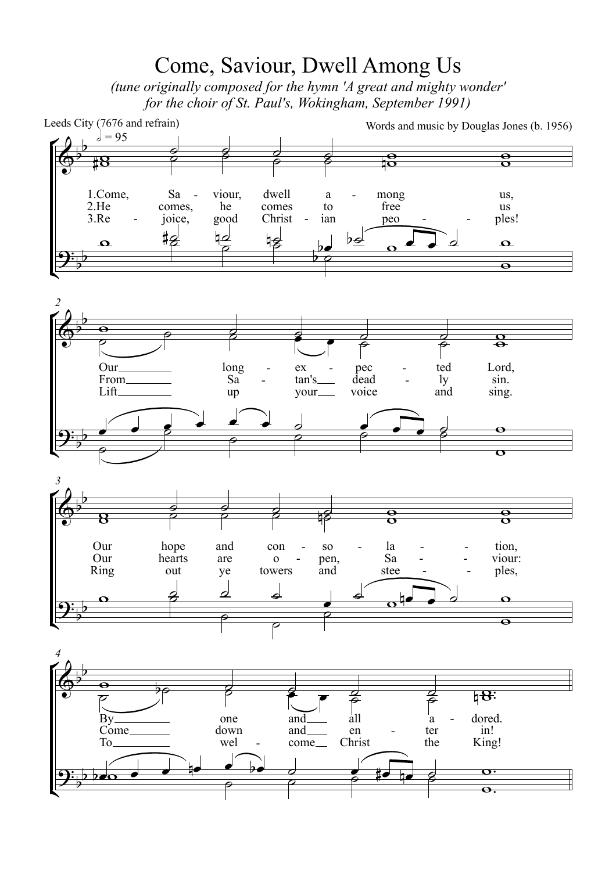## Come, Saviour, Dwell Among Us

(tune originally composed for the hymn 'A great and mighty wonder' for the choir of St. Paul's, Wokingham, September 1991)